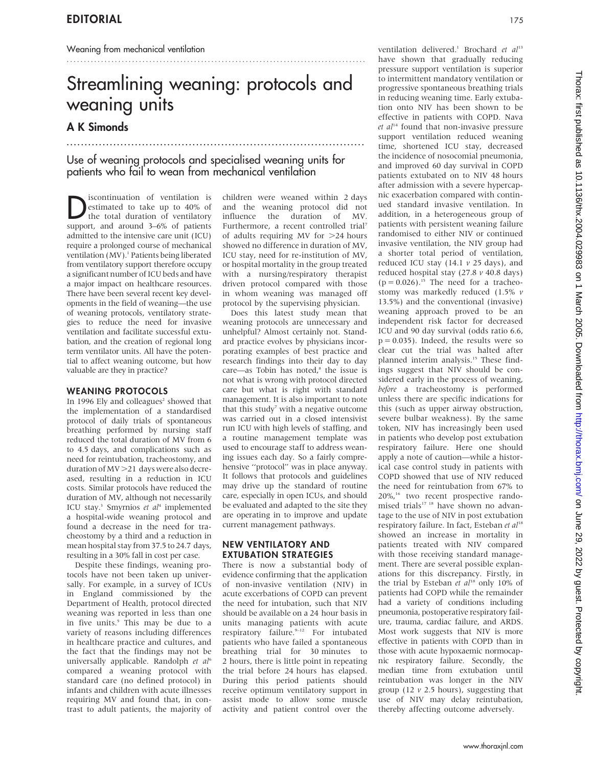# Streamlining weaning: protocols and weaning units

.......................................................................................

## A K Simonds

Use of weaning protocols and specialised weaning units for patients who fail to wean from mechanical ventilation

...................................................................................

**D**iscontinuation of ventilation is<br>the total duration of ventilatory<br>support and around  $\frac{3}{2}6\%$  of patients estimated to take up to 40% of the total duration of ventilatory support, and around 3–6% of patients admitted to the intensive care unit (ICU) require a prolonged course of mechanical ventilation (MV).<sup>1</sup> Patients being liberated from ventilatory support therefore occupy a significant number of ICU beds and have a major impact on healthcare resources. There have been several recent key developments in the field of weaning—the use of weaning protocols, ventilatory strategies to reduce the need for invasive ventilation and facilitate successful extubation, and the creation of regional long term ventilator units. All have the potential to affect weaning outcome, but how valuable are they in practice?

#### WEANING PROTOCOLS

In 1996 Ely and colleagues<sup>2</sup> showed that the implementation of a standardised protocol of daily trials of spontaneous breathing performed by nursing staff reduced the total duration of MV from 6 to 4.5 days, and complications such as need for reintubation, tracheostomy, and duration of MV > 21 days were also decreased, resulting in a reduction in ICU costs. Similar protocols have reduced the duration of MV, although not necessarily ICU stay.<sup>3</sup> Smyrnios et al<sup>4</sup> implemented a hospital-wide weaning protocol and found a decrease in the need for tracheostomy by a third and a reduction in mean hospital stay from 37.5 to 24.7 days, resulting in a 30% fall in cost per case.

Despite these findings, weaning protocols have not been taken up universally. For example, in a survey of ICUs in England commissioned by the Department of Health, protocol directed weaning was reported in less than one in five units.<sup>5</sup> This may be due to a variety of reasons including differences in healthcare practice and cultures, and the fact that the findings may not be universally applicable. Randolph et al<sup>6</sup> compared a weaning protocol with standard care (no defined protocol) in infants and children with acute illnesses requiring MV and found that, in contrast to adult patients, the majority of children were weaned within 2 days and the weaning protocol did not influence the duration of MV. Furthermore, a recent controlled trial<sup>7</sup> of adults requiring MV for  $>24$  hours showed no difference in duration of MV, ICU stay, need for re-institution of MV, or hospital mortality in the group treated with a nursing/respiratory therapist driven protocol compared with those in whom weaning was managed off protocol by the supervising physician.

Does this latest study mean that weaning protocols are unnecessary and unhelpful? Almost certainly not. Standard practice evolves by physicians incorporating examples of best practice and research findings into their day to day  $care$ —as Tobin has noted, $^8$  the issue is not what is wrong with protocol directed care but what is right with standard management. It is also important to note that this study<sup>7</sup> with a negative outcome was carried out in a closed intensivist run ICU with high levels of staffing, and a routine management template was used to encourage staff to address weaning issues each day. So a fairly comprehensive ''protocol'' was in place anyway. It follows that protocols and guidelines may drive up the standard of routine care, especially in open ICUs, and should be evaluated and adapted to the site they are operating in to improve and update current management pathways.

#### NEW VENTILATORY AND EXTUBATION STRATEGIES

There is now a substantial body of evidence confirming that the application of non-invasive ventilation (NIV) in acute excerbations of COPD can prevent the need for intubation, such that NIV should be available on a 24 hour basis in units managing patients with acute respiratory failure.<sup>9-12</sup> For intubated patients who have failed a spontaneous breathing trial for 30 minutes to 2 hours, there is little point in repeating the trial before 24 hours has elapsed. During this period patients should receive optimum ventilatory support in assist mode to allow some muscle activity and patient control over the

ventilation delivered.<sup>1</sup> Brochard et al<sup>13</sup> have shown that gradually reducing pressure support ventilation is superior to intermittent mandatory ventilation or progressive spontaneous breathing trials in reducing weaning time. Early extubation onto NIV has been shown to be effective in patients with COPD. Nava  $et$   $al<sup>14</sup>$  found that non-invasive pressure support ventilation reduced weaning time, shortened ICU stay, decreased the incidence of nosocomial pneumonia, and improved 60 day survival in COPD patients extubated on to NIV 48 hours after admission with a severe hypercapnic exacerbation compared with continued standard invasive ventilation. In addition, in a heterogeneous group of patients with persistent weaning failure randomised to either NIV or continued invasive ventilation, the NIV group had a shorter total period of ventilation, reduced ICU stay (14.1  $\nu$  25 days), and reduced hospital stay  $(27.8 v 40.8 \text{ days})$  $(p = 0.026).$ <sup>15</sup> The need for a tracheostomy was markedly reduced (1.5% v 13.5%) and the conventional (invasive) weaning approach proved to be an independent risk factor for decreased ICU and 90 day survival (odds ratio 6.6,  $p = 0.035$ ). Indeed, the results were so clear cut the trial was halted after planned interim analysis.15 These findings suggest that NIV should be considered early in the process of weaning, before a tracheostomy is performed unless there are specific indications for this (such as upper airway obstruction, severe bulbar weakness). By the same token, NIV has increasingly been used in patients who develop post extubation respiratory failure. Here one should apply a note of caution—while a historical case control study in patients with COPD showed that use of NIV reduced the need for reintubation from 67% to 20%,16 two recent prospective randomised trials<sup>17</sup><sup>18</sup> have shown no advantage to the use of NIV in post extubation respiratory failure. In fact, Esteban et al<sup>18</sup> showed an increase in mortality in patients treated with NIV compared with those receiving standard management. There are several possible explanations for this discrepancy. Firstly, in the trial by Esteban et  $al^{18}$  only 10% of patients had COPD while the remainder had a variety of conditions including pneumonia, postoperative respiratory failure, trauma, cardiac failure, and ARDS. Most work suggests that NIV is more effective in patients with COPD than in those with acute hypoxaemic normocapnic respiratory failure. Secondly, the median time from extubation until reintubation was longer in the NIV group (12  $\nu$  2.5 hours), suggesting that use of NIV may delay reintubation, thereby affecting outcome adversely.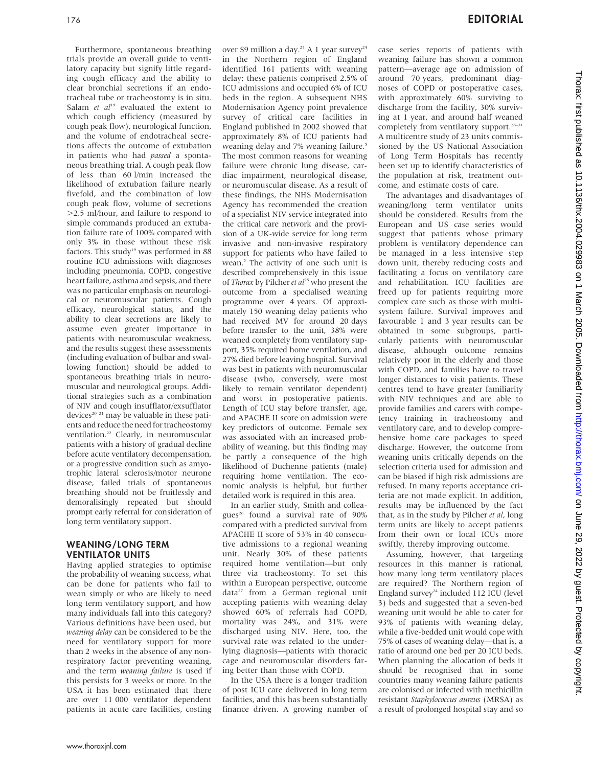Furthermore, spontaneous breathing trials provide an overall guide to ventilatory capacity but signify little regarding cough efficacy and the ability to clear bronchial secretions if an endotracheal tube or tracheostomy is in situ. Salam et  $al^{19}$  evaluated the extent to which cough efficiency (measured by cough peak flow), neurological function, and the volume of endotracheal secretions affects the outcome of extubation in patients who had passed a spontaneous breathing trial. A cough peak flow of less than 60 l/min increased the likelihood of extubation failure nearly fivefold, and the combination of low cough peak flow, volume of secretions .2.5 ml/hour, and failure to respond to simple commands produced an extubation failure rate of 100% compared with only 3% in those without these risk factors. This study<sup>19</sup> was performed in 88 routine ICU admissions with diagnoses including pneumonia, COPD, congestive heart failure, asthma and sepsis, and there was no particular emphasis on neurological or neuromuscular patients. Cough efficacy, neurological status, and the ability to clear secretions are likely to assume even greater importance in patients with neuromuscular weakness, and the results suggest these assessments (including evaluation of bulbar and swallowing function) should be added to spontaneous breathing trials in neuromuscular and neurological groups. Additional strategies such as a combination of NIV and cough insufflator/exsufflator devices<sup>20</sup><sup>21</sup> may be valuable in these patients and reduce the need for tracheostomy ventilation.22 Clearly, in neuromuscular patients with a history of gradual decline before acute ventilatory decompensation, or a progressive condition such as amyotrophic lateral sclerosis/motor neurone disease, failed trials of spontaneous breathing should not be fruitlessly and demoralisingly repeated but should prompt early referral for consideration of long term ventilatory support.

#### WEANING/LONG TERM VENTILATOR UNITS

Having applied strategies to optimise the probability of weaning success, what can be done for patients who fail to wean simply or who are likely to need long term ventilatory support, and how many individuals fall into this category? Various definitions have been used, but weaning delay can be considered to be the need for ventilatory support for more than 2 weeks in the absence of any nonrespiratory factor preventing weaning, and the term weaning failure is used if this persists for 3 weeks or more. In the USA it has been estimated that there are over 11 000 ventilator dependent patients in acute care facilities, costing over \$9 million a day.<sup>23</sup> A 1 year survey<sup>24</sup> in the Northern region of England identified 161 patients with weaning delay; these patients comprised 2.5% of ICU admissions and occupied 6% of ICU beds in the region. A subsequent NHS Modernisation Agency point prevalence survey of critical care facilities in England published in 2002 showed that approximately 8% of ICU patients had weaning delay and 7% weaning failure.<sup>5</sup> The most common reasons for weaning failure were chronic lung disease, cardiac impairment, neurological disease, or neuromuscular disease. As a result of these findings, the NHS Modernisation Agency has recommended the creation of a specialist NIV service integrated into the critical care network and the provision of a UK-wide service for long term invasive and non-invasive respiratory support for patients who have failed to wean.<sup>5</sup> The activity of one such unit is described comprehensively in this issue of Thorax by Pilcher et  $al^{25}$  who present the outcome from a specialised weaning programme over 4 years. Of approximately 150 weaning delay patients who had received MV for around 20 days before transfer to the unit, 38% were weaned completely from ventilatory support, 35% required home ventilation, and 27% died before leaving hospital. Survival was best in patients with neuromuscular disease (who, conversely, were most likely to remain ventilator dependent) and worst in postoperative patients. Length of ICU stay before transfer, age, and APACHE II score on admission were key predictors of outcome. Female sex was associated with an increased probability of weaning, but this finding may be partly a consequence of the high likelihood of Duchenne patients (male) requiring home ventilation. The economic analysis is helpful, but further detailed work is required in this area.

In an earlier study, Smith and colleagues<sup>26</sup> found a survival rate of 90% compared with a predicted survival from APACHE II score of 53% in 40 consecutive admissions to a regional weaning unit. Nearly 30% of these patients required home ventilation—but only three via tracheostomy. To set this within a European perspective, outcome data<sup>27</sup> from a German regional unit accepting patients with weaning delay showed 60% of referrals had COPD, mortality was 24%, and 31% were discharged using NIV. Here, too, the survival rate was related to the underlying diagnosis—patients with thoracic cage and neuromuscular disorders faring better than those with COPD.

In the USA there is a longer tradition of post ICU care delivered in long term facilities, and this has been substantially finance driven. A growing number of case series reports of patients with weaning failure has shown a common pattern—average age on admission of around 70 years, predominant diagnoses of COPD or postoperative cases, with approximately 60% surviving to discharge from the facility, 30% surviving at 1 year, and around half weaned completely from ventilatory support.<sup>28-31</sup> A multicentre study of 23 units commissioned by the US National Association of Long Term Hospitals has recently been set up to identify characteristics of the population at risk, treatment outcome, and estimate costs of care.

The advantages and disadvantages of weaning/long term ventilator units should be considered. Results from the European and US case series would suggest that patients whose primary problem is ventilatory dependence can be managed in a less intensive step down unit, thereby reducing costs and facilitating a focus on ventilatory care and rehabilitation. ICU facilities are freed up for patients requiring more complex care such as those with multisystem failure. Survival improves and favourable 1 and 3 year results can be obtained in some subgroups, particularly patients with neuromuscular disease, although outcome remains relatively poor in the elderly and those with COPD, and families have to travel longer distances to visit patients. These centres tend to have greater familiarity with NIV techniques and are able to provide families and carers with competency training in tracheostomy and ventilatory care, and to develop comprehensive home care packages to speed discharge. However, the outcome from weaning units critically depends on the selection criteria used for admission and can be biased if high risk admissions are refused. In many reports acceptance criteria are not made explicit. In addition, results may be influenced by the fact that, as in the study by Pilcher et al, long term units are likely to accept patients from their own or local ICUs more swiftly, thereby improving outcome.

Assuming, however, that targeting resources in this manner is rational, how many long term ventilatory places are required? The Northern region of England survey<sup>24</sup> included 112 ICU (level 3) beds and suggested that a seven-bed weaning unit would be able to cater for 93% of patients with weaning delay, while a five-bedded unit would cope with 75% of cases of weaning delay—that is, a ratio of around one bed per 20 ICU beds. When planning the allocation of beds it should be recognised that in some countries many weaning failure patients are colonised or infected with methicillin resistant Staphylococcus aureus (MRSA) as a result of prolonged hospital stay and so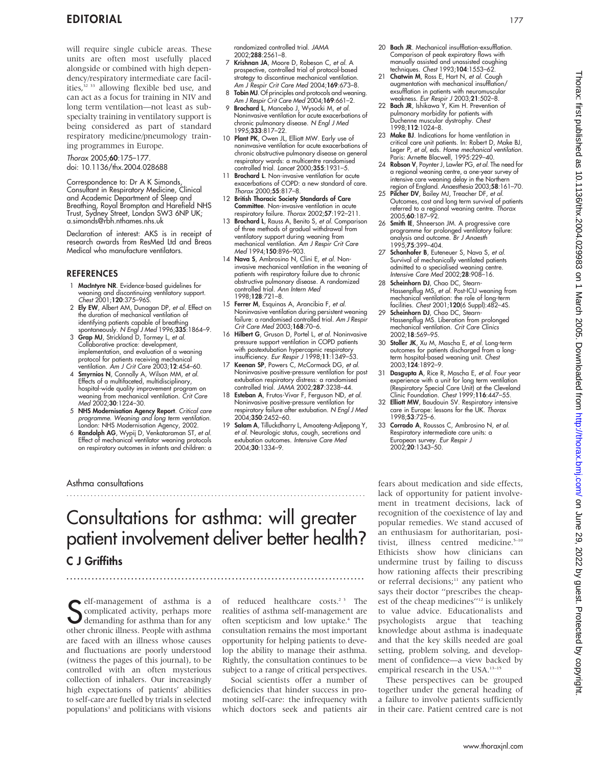will require single cubicle areas. These units are often most usefully placed alongside or combined with high dependency/respiratory intermediate care facilities,<sup>32 33</sup> allowing flexible bed use, and can act as a focus for training in NIV and long term ventilation—not least as subspecialty training in ventilatory support is being considered as part of standard respiratory medicine/pneumology training programmes in Europe.

Thorax 2005;60:175–177. doi: 10.1136/thx.2004.028688

Correspondence to: Dr A K Simonds, Consultant in Respiratory Medicine, Clinical and Academic Department of Sleep and Breathing, Royal Brompton and Harefield NHS Trust, Sydney Street, London SW3 6NP UK; a.simonds@rbh.nthames.nhs.uk

Declaration of interest: AKS is in receipt of research awards from ResMed Ltd and Breas Medical who manufacture ventilators.

#### **REFERENCES**

- 1 MacIntyre NR. Evidence-based guidelines for weaning and discontinuing ventilatory support. Chest 2001;120:375–96S.
- 2 Ely EW, Albert AM, Dunagan DP, et al. Effect on the duration of mechanical ventilation of identifying patients capable of breathing spontaneously. N Engl J Med 1996;335:1864-9.
- 3 Grap MJ, Strickland D, Tormey L, et al. Collaborative practice: development, implementation, and evaluation of a weaning protocol for patients receiving mechanical ventilation. Am J Crit Care 2003;12:454–60.
- 4 Smyrnios N, Connolly A, Wilson MM, et al. Effects of a multifaceted, multidisciplinary, hospital-wide quality improvement program on weaning from mechanical ventilation. Crit Care Med 2002;**30**:1224–30.
- 5 NHS Modernisation Agency Report. Critical care programme. Weaning and long term ventilation. London: NHS Modernisation Agency, 2002.
- 6 Randolph AG, Wypij D, Venkataraman ST, et al. Effect of mechanical ventilator weaning protocols on respiratory outcomes in infants and children: a

Asthma consultations

randomized controlled trial. JAMA 2002;288:2561–8.

- 7 Krishnan JA, Moore D, Robeson C, et al. A prospective, controlled trial of protocol-based strategy to discontinue mechanical ventilation. Am J Respir Crit Care Med 2004;169:673–8.
- 8 Tobin MJ. Of principles and protocols and weaning. Am J Respir Crit Care Med 2004;169:661–2.
- 9 Brochard L, Mancebo J, Wysocki M, et al. Noninvasive ventilation for acute exacerbations of chronic pulmonary disease. N Engl J Med 1995;333:817–22.
- 10 Plant PK, Owen JL, Elliott MW. Early use of noninvasive ventilation for acute exacerbations of chronic obstructive pulmonary disease on general respiratory wards: a multicentre randomised controlled trial. Lancet 2000;355:1931–5.
- 11 **Brochard L**. Non-invasive ventilation for acute exacerbations of COPD: a new standard of care. Thorax 2000;55:817–8.
- 12 British Thoracic Society Standards of Care Committee. Non-invasive ventilation in acute respiratory failure. Thorax 2002;57:192–211.
- 13 **Brochard L**, Rauss A, Benito S, et al. Comparison of three methods of gradual withdrawal from ventilatory support during weaning from mechanical ventilation. Am J Respir Crit Care Med 1994;150:896-903.
- 14 Nava S, Ambrosino N, Clini E, et al. Noninvasive mechanical ventilation in the weaning of patients with respiratory failure due to chronic obstructive pulmonary disease. A randomized controlled trial. Ann Intern Med 1998;128:721–8.
- 15 Ferrer M, Esquinas A, Arancibia F, et al. Noninvasive ventilation during persistent weaning failure: a randomised controlled trial. Am J Respir Crit Care Med 2003;168:70-6.
- 16 Hilbert G, Gruson D, Portel L, et al. Noninvasive pressure support ventilation in COPD patients with postextubation hypercapnic respiratory insufficiency. Eur Respir J 1998;11:1349–53.
- 17 Keenan SP, Powers C, McCormack DG, et al. Noninvasive positive-pressure ventilation for post extubation respiratory distress: a randomised controlled trial. JAMA 2002;287:3238–44.
- 18 Esteban A, Frutos-Vivar F, Ferguson ND, et al. Noninvasive positive-pressure ventilation for respiratory failure after extubation. *N Engl J Med*<br>2004;**350**:2452–60.
- 19 Salam A, Tilluckdharry L, Amoateng-Adjepong Y, et al. Neurologic status, cough, secretions and extubation outcomes. Intensive Care Med 2004;30:1334–9.
- 20 Bach JR. Mechanical insufflation-exsufflation. Comparison of peak expiratory flows with manually assisted and unassisted coughing techniques. Chest 1993;104:1553–62.
- 21 Chatwin M, Ross E, Hart N, et al. Cough augmentation with mechanical insufflation/ exsufflation in patients with neuromuscular weakness. Eur Respir J 2003;21:502–8.
- 22 Bach JR, Ishikawa<sup>'</sup>Y, Kim H. Prevention of pulmonary morbidity for patients with Duchenne muscular dystrophy. Chest 1998;112:1024–8.
- 23 Make BJ. Indications for home ventilation in critical care unit patients. In: Robert D, Make BJ, Leger P, et al, eds. Home mechanical ventilation. Paris: Arnette Blacwell, 1995:229–40.
- 24 Robson V, Poynter J, Lawler PG, et al. The need for a regional weaning centre, a one-year survey of intensive care weaning delay in the Northern region of England. Anaesthesia 2003;58:161–70.
- 25 Pilcher DV, Bailey MJ, Treacher DF, et al. Outcomes, cost and long term survival of patients referred to a regional weaning centre. Thorax 2005;60:187–92.
- 26 Smith IE, Shneerson JM. A progressive care programme for prolonged ventilatory failure: analysis and outcome. Br J Anaesth 1995;75:399–404.
- 27 Schonhofer B, Euteneuer S, Nava S, et al. Survival of mechanically ventilated patients admitted to a specialised weaning centre. Intensive Care Med 2002;28:908–16.
- 28 Scheinhorn DJ, Chao DC, Stearn-Hassenpflug MS, et al. Post-ICU weaning from mechanical ventilation: the role of long-term facilities. Chest 2001;120(6 Suppl):482–4S.
- 29 Scheinhorn DJ, Chao DC, Stearn-Hassenpflug MS. Liberation from prolonged mechanical ventilation. Crit Care Clinics 2002;18:569–95.
- 30 Stoller JK, Xu M, Mascha E, et al. Long-term outcomes for patients discharged from a longterm hospital-based weaning unit. Chest 2003;124:1892–9.
- 31 Dasgupta A, Rice R, Mascha E, et al. Four year experience with a unit for long term ventilation (Respiratory Special Care Unit) at the Cleveland Clinic Foundation. Chest 1999;116:447–55.
- 32 Elliott MW, Baudouin SV. Respiratory intensive care in Europe: lessons for the UK. Thorax 1998;53:725–6.
- 33 Corrado A, Roussos C, Ambrosino N, et al. Respiratory intermediate care units: a European survey. Eur Respir J 2002;20:1343–50.

Consultations for asthma: will greater patient involvement deliver better health? C J Griffiths ...................................................................................

.......................................................................................

Self-management of asthma is a<br>
Somplicated activity, perhaps more<br>
demanding for asthma than for any<br>
other chronic illness. Boods with asthma complicated activity, perhaps more demanding for asthma than for any other chronic illness. People with asthma are faced with an illness whose causes and fluctuations are poorly understood (witness the pages of this journal), to be controlled with an often mysterious collection of inhalers. Our increasingly high expectations of patients' abilities to self-care are fuelled by trials in selected  $\operatorname{populations^1}$  and politicians with visions

of reduced healthcare costs.<sup>23</sup> The realities of asthma self-management are often scepticism and low uptake.<sup>4</sup> The consultation remains the most important opportunity for helping patients to develop the ability to manage their asthma. Rightly, the consultation continues to be subject to a range of critical perspectives.

Social scientists offer a number of deficiencies that hinder success in promoting self-care: the infrequency with which doctors seek and patients air fears about medication and side effects, lack of opportunity for patient involvement in treatment decisions, lack of recognition of the coexistence of lay and popular remedies. We stand accused of an enthusiasm for authoritarian, positivist, illness centred medicine.<sup>5-10</sup> Ethicists show how clinicians can undermine trust by failing to discuss how rationing affects their prescribing or referral decisions;<sup>11</sup> any patient who says their doctor ''prescribes the cheapest of the cheap medicines"<sup>12</sup> is unlikely to value advice. Educationalists and psychologists argue that teaching knowledge about asthma is inadequate and that the key skills needed are goal setting, problem solving, and development of confidence—a view backed by empirical research in the USA.13–15

These perspectives can be grouped together under the general heading of a failure to involve patients sufficiently in their care. Patient centred care is not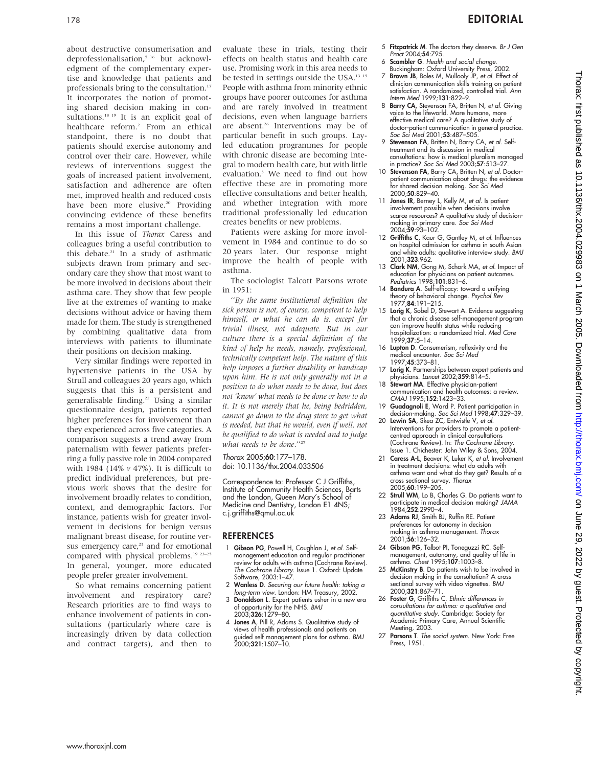about destructive consumerisation and deprofessionalisation,<sup>5 16</sup> but acknowledgment of the complementary expertise and knowledge that patients and professionals bring to the consultation.<sup>17</sup> It incorporates the notion of promoting shared decision making in consultations.<sup>18</sup> <sup>19</sup> It is an explicit goal of healthcare reform.<sup>2</sup> From an ethical standpoint, there is no doubt that patients should exercise autonomy and control over their care. However, while reviews of interventions suggest the goals of increased patient involvement, satisfaction and adherence are often met, improved health and reduced costs have been more elusive.<sup>20</sup> Providing convincing evidence of these benefits remains a most important challenge.

In this issue of Thorax Caress and colleagues bring a useful contribution to this debate. $21$  In a study of asthmatic subjects drawn from primary and secondary care they show that most want to be more involved in decisions about their asthma care. They show that few people live at the extremes of wanting to make decisions without advice or having them made for them. The study is strengthened by combining qualitative data from interviews with patients to illuminate their positions on decision making.

Very similar findings were reported in hypertensive patients in the USA by Strull and colleagues 20 years ago, which suggests that this is a persistent and generalisable finding.22 Using a similar questionnaire design, patients reported higher preferences for involvement than they experienced across five categories. A comparison suggests a trend away from paternalism with fewer patients preferring a fully passive role in 2004 compared with 1984 (14%  $\nu$  47%). It is difficult to predict individual preferences, but previous work shows that the desire for involvement broadly relates to condition, context, and demographic factors. For instance, patients wish for greater involvement in decisions for benign versus malignant breast disease, for routine versus emergency care, $23$  and for emotional compared with physical problems.<sup>19 23-25</sup> In general, younger, more educated people prefer greater involvement.

So what remains concerning patient involvement and respiratory care? Research priorities are to find ways to enhance involvement of patients in consultations (particularly where care is increasingly driven by data collection and contract targets), and then to

evaluate these in trials, testing their effects on health status and health care use. Promising work in this area needs to be tested in settings outside the USA.<sup>13 15</sup> People with asthma from minority ethnic groups have poorer outcomes for asthma and are rarely involved in treatment decisions, even when language barriers are absent.<sup>26</sup> Interventions may be of particular benefit in such groups. Layled education programmes for people with chronic disease are becoming integral to modern health care, but with little evaluation.3 We need to find out how effective these are in promoting more effective consultations and better health, and whether integration with more traditional professionally led education creates benefits or new problems.

Patients were asking for more involvement in 1984 and continue to do so 20 years later. Our response might improve the health of people with asthma.

The sociologist Talcott Parsons wrote in 1951:

''By the same institutional definition the sick person is not, of course, competent to help himself, or what he can do is, except for trivial illness, not adequate. But in our culture there is a special definition of the kind of help he needs, namely, professional, technically competent help. The nature of this help imposes a further disability or handicap upon him. He is not only generally not in a position to do what needs to be done, but does not 'know' what needs to be done or how to do it. It is not merely that he, being bedridden, cannot go down to the drug store to get what is needed, but that he would, even if well, not be qualified to do what is needed and to judge what needs to be done."<sup>27</sup>

Thorax 2005;60:177–178. doi: 10.1136/thx.2004.033506

Correspondence to: Professor C J Griffiths, Institute of Community Health Sciences, Barts and the London, Queen Mary's School of Medicine and Dentistry, London E1 4NS; c.j.griffiths@qmul.ac.uk

#### **REFERENCES**

- 1 Gibson PG, Powell H, Coughlan J, et al. Selfmanagement education and regular practitioner review for adults with asthma (Cochrane Review). The Cochrane Library. Issue 1. Oxford: Update Software, 2003:1–47.
- 2 Wanless D. Securing our future health: taking a long-term view. London: HM Treasury, 2002.
- 3 Donaldson L. Expert patients usher in a new era of opportunity for the NHS. BMJ 2003;326:1279–80.
- 4 Jones A, Pill R, Adams S. Qualitative study of views of health professionals and patients on guided self management plans for asthma. *BMJ*<br>2000;**321**:1507–10.
- 5 Fitzpatrick M. The doctors they deserve. Br J Gen Pract 2004;54:795.
- 6 Scambler G. Health and social change. Buckingham: Oxford University Press, 2002.
	- 7 Brown JB, Boles M, Mullooly JP, et al. Effect of clinician communication skills training on patient satisfaction. A randomized, controlled trial. Ann Intern Med 1999;131:822–9.
	- 8 Barry CA, Stevenson FA, Britten N, et al. Giving voice to the lifeworld. More humane, more effective medical care? A qualitative study of doctor-patient communication in general practice. Soc Sci Med 2001;53:487–505.
	- 9 Stevenson FA, Britten N, Barry CA, et al. Selftreatment and its discussion in medical consultations: how is medical pluralism managed in practice? Soc Sci Med 2003;57:513–27.
	- 10 Stevenson FA, Barry CA, Britten N, et al. Doctorpatient communication about drugs: the evidence for shared decision making. Soc Sci Med 2000;50:829–40.
	- 11 **Jones IR**, Berney L, Kelly M, et al. Is patient involvement possible when decisions involve scarce resources? A qualitative study of decisionmaking in primary care. *Soc Sci Med*<br>2004;**59**:93–102.
	- 12 Griffiths C, Kaur G, Gantley M, et al. Influences on hospital admission for asthma in south Asian and white adults: qualitative interview study. BMJ 2001;323:962.
	- 13 Clark NM, Gong M, Schork MA, et al. Impact of education for physicians on patient outcomes. Pediatrics 1998;101:831-6.
- 14 **Bandura A**. Self-efficacy: toward a unifying theory of behavioral change. Psychol Rev 1977;84:191–215.
- 15 Lorig K, Sobel D, Stewart A. Evidence suggesting that a chronic disease self-management program can improve health status while reducing hospitalization: a randomized trial. Med Care 1999;37:5–14.
- 16 Lupton D. Consumerism, reflexivity and the medical encounter. Soc Sci Med 1997;45:373–81.
- 17 Lorig K. Partnerships between expert patients and physicians. Lancet 2002;359:814–5.
- 18 Stewart MA. Effective physician-patient communication and health outcomes: a review. CMAJ 1995;152:1423–33.
- 19 Guadagnoli E, Ward P. Patient participation in decision-making. Soc Sci Med 1998;47:329–39.
- 20 Lewin SA, Skea ZC, Entwistle V, et al. Interventions for providers to promote a patientcentred approach in clinical consultations (Cochrane Review). In: The Cochrane Library. Issue 1. Chichester: John Wiley & Sons, 2004.
- 21 Caress A-L, Beaver K, Luker K, et al. Involvement in treatment decisions: what do adults with asthma want and what do they get? Results of a cross sectional survey. Thorax 2005;60:199–205.
- 22 Strull WM, Lo B, Charles G. Do patients want to participate in medical decision making? JAMA 1984;252:2990–4.
- 23 Adams RJ, Smith BJ, Ruffin RE. Patient preferences for autonomy in decision making in asthma management. Thorax 2001;56:126–32.
- 24 Gibson PG, Talbot PI, Toneguzzi RC. Selfmanagement, autonomy, and quality of life in asthma. Chest 1995;107:1003–8.
- 25 McKinstry B. Do patients wish to be involved in decision making in the consultation? A cross sectional survey with video vignettes. BMJ<br>2000;**321**:867–71.
- 26 Foster G, Griffiths C. Ethnic differences in consultations for asthma: a qualitative and quantitative study. Cambridge: Society for Academic Primary Care, Annual Scientific Meeting, 2003.
- 27 Parsons T. The social system. New York: Free Press, 1951.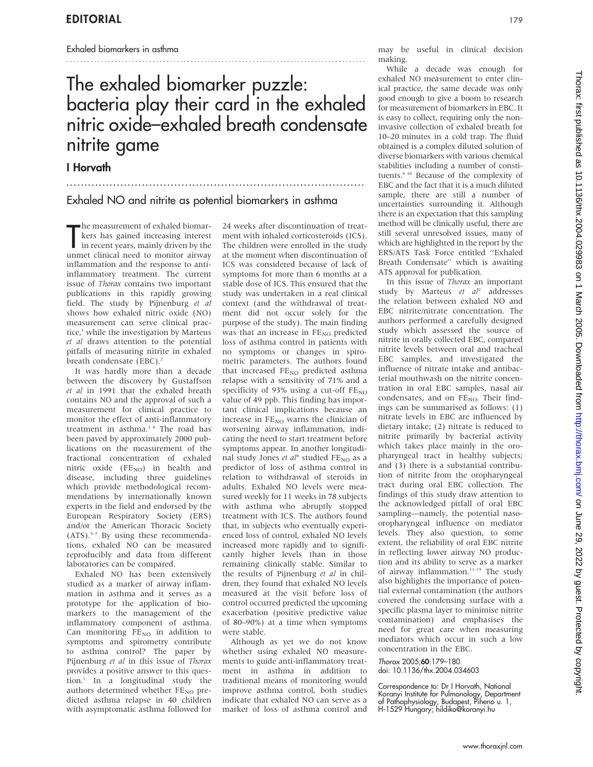#### Exhaled biomarkers in asthma

# The exhaled biomarker puzzle: bacteria play their card in the exhaled nitric oxide–exhaled breath condensate nitrite game

...................................................................................

I Horvath

## Exhaled NO and nitrite as potential biomarkers in asthma

The measurement of exhaled biomar-<br>kers has gained increasing interest<br>in recent years, mainly driven by the<br>unmet clinical need to monitor airway he measurement of exhaled biomarkers has gained increasing interest in recent years, mainly driven by the inflammation and the response to antiinflammatory treatment. The current issue of Thorax contains two important publications in this rapidly growing field. The study by Pijnenburg et al shows how exhaled nitric oxide (NO) measurement can serve clinical practice, $\frac{1}{1}$  while the investigation by Marteus et al draws attention to the potential pitfalls of measuring nitrite in exhaled breath condensate (EBC).<sup>2</sup>

It was hardly more than a decade between the discovery by Gustaffson et al in 1991 that the exhaled breath contains NO and the approval of such a measurement for clinical practice to monitor the effect of anti-inflammatory treatment in asthma.<sup>34</sup> The road has been paved by approximately 2000 publications on the measurement of the fractional concentration of exhaled nitric oxide (FENO) in health and disease, including three guidelines which provide methodological recommendations by internationally known experts in the field and endorsed by the European Respiratory Society (ERS) and/or the American Thoracic Society  $(ATS)$ <sup>5-7</sup> By using these recommendations, exhaled NO can be measured reproducibly and data from different laboratories can be compared.

Exhaled NO has been extensively studied as a marker of airway inflammation in asthma and it serves as a prototype for the application of biomarkers to the management of the inflammatory component of asthma. Can monitoring  $FE_{NO}$  in addition to symptoms and spirometry contribute to asthma control? The paper by Pijnenburg et al in this issue of Thorax provides a positive answer to this question.1 In a longitudinal study the authors determined whether  $FE<sub>NO</sub>$  predicted asthma relapse in 40 children with asymptomatic asthma followed for 24 weeks after discontinuation of treatment with inhaled corticosteroids (ICS). The children were enrolled in the study at the moment when discontinuation of ICS was considered because of lack of symptoms for more than 6 months at a stable dose of ICS. This ensured that the study was undertaken in a real clinical context (and the withdrawal of treatment did not occur solely for the purpose of the study). The main finding was that an increase in  $FE_{NO}$  predicted loss of asthma control in patients with no symptoms or changes in spirometric parameters. The authors found that increased  $FE<sub>NO</sub>$  predicted asthma relapse with a sensitivity of 71% and a specificity of 93% using a cut-off  $FE_{NO}$ value of 49 ppb. This finding has important clinical implications because an increase in  $FE_{NO}$  warns the clinician of worsening airway inflammation, indicating the need to start treatment before symptoms appear. In another longitudinal study Jones et al<sup>8</sup> studied FE<sub>NO</sub> as a predictor of loss of asthma control in relation to withdrawal of steroids in adults. Exhaled NO levels were measured weekly for 11 weeks in 78 subjects with asthma who abruptly stopped treatment with ICS. The authors found that, in subjects who eventually experienced loss of control, exhaled NO levels increased more rapidly and to significantly higher levels than in those remaining clinically stable. Similar to the results of Pijnenburg et al in children, they found that exhaled NO levels measured at the visit before loss of control occurred predicted the upcoming exacerbation (positive predictive value of 80–90%) at a time when symptoms were stable.

Although as yet we do not know whether using exhaled NO measurements to guide anti-inflammatory treatment in asthma in addition to traditional means of monitoring would improve asthma control, both studies indicate that exhaled NO can serve as a marker of loss of asthma control and

may be useful in clinical decision making.

While a decade was enough for exhaled NO measurement to enter clinical practice, the same decade was only good enough to give a boom to research for measurement of biomarkers in EBC. It is easy to collect, requiring only the noninvasive collection of exhaled breath for 10–20 minutes in a cold trap. The fluid obtained is a complex diluted solution of diverse biomarkers with various chemical stabilities including a number of constituents.9 10 Because of the complexity of EBC and the fact that it is a much diluted sample, there are still a number of uncertainties surrounding it. Although there is an expectation that this sampling method will be clinically useful, there are still several unresolved issues, many of which are highlighted in the report by the ERS/ATS Task Force entitled ''Exhaled Breath Condensate'' which is awaiting ATS approval for publication.

In this issue of Thorax an important study by Marteus et al<sup>2</sup> addresses the relation between exhaled NO and EBC nitrite/nitrate concentration. The authors performed a carefully designed study which assessed the source of nitrite in orally collected EBC, compared nitrite levels between oral and tracheal EBC samples, and investigated the influence of nitrate intake and antibacterial mouthwash on the nitrite concentration in oral EBC samples, nasal air condensates, and on  $FE_{NO}$ . Their findings can be summarised as follows: (1) nitrate levels in EBC are influenced by dietary intake; (2) nitrate is reduced to nitrite primarily by bacterial activity which takes place mainly in the oropharyngeal tract in healthy subjects; and (3) there is a substantial contribution of nitrite from the oropharyngeal tract during oral EBC collection. The findings of this study draw attention to the acknowledged pitfall of oral EBC sampling—namely, the potential nasooropharyngeal influence on mediator levels. They also question, to some extent, the reliability of oral EBC nitrite in reflecting lower airway NO production and its ability to serve as a marker of airway inflammation.<sup>11-15</sup> The study also highlights the importance of potential external contamination (the authors covered the condensing surface with a specific plasma layer to minimise nitrite contamination) and emphasises the need for great care when measuring mediators which occur in such a low concentration in the EBC.

Thorax 2005;60:179–180. doi: 10.1136/thx.2004.034603

Correspondence to: Dr I Horvath, National Koranyi Institute for Pulmonology, Department of Pathophysiology, Budapest, Piheno u. 1, H-1529 Hungary; hildiko@koranyi.hu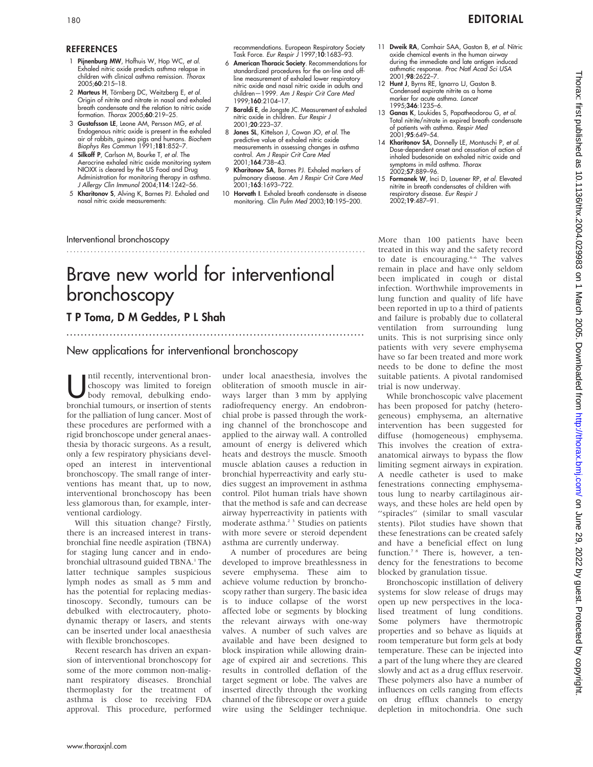#### REFERENCES

- Pijnenburg MW, Hofhuis W, Hop WC, et al. Exhaled nitric oxide predicts asthma relapse in children with clinical asthma remission. Thorax 2005;60:215–18.
- 2 **Marteus H**, Törnberg DC, Weitzberg E, *et al.*<br>Origin of nitrite and nitrate in nasal and exhaled breath condensate and the relation to nitric oxide formation. Thorax 2005;60:219–25.
- 3 Gustafsson LE, Leone AM, Persson MG, et al. Endogenous nitric oxide is present in the exhaled air of rabbits, guinea pigs and humans. Biochem Biophys Res Commun 1991;181:852–7.
- 4 Silkoff P, Carlson M, Bourke T, et al. The Aerocrine exhaled nitric oxide monitoring system NIOXX is cleared by the US Food and Drug Administration for monitoring therapy in asthma. J Allergy Clin Immunol 2004; 114: 1242-56.
- 5 Kharitonov S, Alving K, Barnes PJ. Exhaled and nasal nitric oxide measurements:

#### Interventional bronchoscopy

.......................................................................................

#### recommendations. European Respiratory Society Task Force. Eur Respir J 1997;10:1683-93.

- 6 American Thoracic Society. Recommendations for standardized procedures for the on-line and offline measurement of exhaled lower respiratory nitric oxide and nasal nitric oxide in adults and children—1999. Am J Respir Crit Care Med 1999;160:2104–17.
- 7 Baraldi E, de Jongste JC. Measurement of exhaled nitric oxide in children. Eur Respir J 2001;20:223–37.
- 8 Jones SL, Kittelson J, Cowan JO, et al. The predictive value of exhaled nitric oxide measurements in assessing changes in asthma control. Am J Respir Crit Care Med 2001;164:738–43.
- 9 Kharitonov SA, Barnes PJ. Exhaled markers of pulmonary disease. *Am J Respir Crit Care Med*<br>2001;**163**:1693–722.
- 10 Horvath I. Exhaled breath condensate in disease monitoring. Clin Pulm Med 2003;10:195–200.
- 11 Dweik RA, Comhair SAA, Gaston B, et al. Nitric oxide chemical events in the human airway during the immediate and late antigen induced asthmatic response. Proc Natl Acad Sci USA 2001;98:2622–7.
- 12 Hunt J, Byrns RE, Ignarro LJ, Gaston B. Condensed expirate nitrite as a home marker for acute asthma. Lancet 1995;**346**:1235–6.
- 13 Ganas K, Loukides S, Papatheodorou G, et al. Total nitrite/nitrate in expired breath condensate of patients with asthma. Respir Med 2001;95:649–54.
- 14 Kharitonov SA, Donnelly LE, Montuschi P, et al. Dose-dependent onset and cessation of action of inhaled budesonide on exhaled nitric oxide and symptoms in mild asthma. *Thorax*<br>2002;**57**:889–96.
- 15 Formanek W, Inci D, Lauener RP, et al. Elevated nitrite in breath condensates of children with respiratory disease. Eur Respir J  $2002 \cdot 19.487 - 91$

# Brave new world for interventional bronchoscopy

...................................................................................

## T P Toma, D M Geddes, P L Shah

New applications for interventional bronchoscopy

Intil recently, interventional bron-<br>
choscopy was limited to foreign<br>
body removal, debulking endochoscopy was limited to foreign bronchial tumours, or insertion of stents for the palliation of lung cancer. Most of these procedures are performed with a rigid bronchoscope under general anaesthesia by thoracic surgeons. As a result, only a few respiratory physicians developed an interest in interventional bronchoscopy. The small range of interventions has meant that, up to now, interventional bronchoscopy has been less glamorous than, for example, interventional cardiology.

Will this situation change? Firstly, there is an increased interest in transbronchial fine needle aspiration (TBNA) for staging lung cancer and in endobronchial ultrasound guided TBNA.<sup>1</sup> The latter technique samples suspicious lymph nodes as small as 5 mm and has the potential for replacing mediastinoscopy. Secondly, tumours can be debulked with electrocautery, photodynamic therapy or lasers, and stents can be inserted under local anaesthesia with flexible bronchoscopes.

Recent research has driven an expansion of interventional bronchoscopy for some of the more common non-malignant respiratory diseases. Bronchial thermoplasty for the treatment of asthma is close to receiving FDA approval. This procedure, performed under local anaesthesia, involves the obliteration of smooth muscle in airways larger than 3 mm by applying radiofrequency energy. An endobronchial probe is passed through the working channel of the bronchoscope and applied to the airway wall. A controlled amount of energy is delivered which heats and destroys the muscle. Smooth muscle ablation causes a reduction in bronchial hyperreactivity and early studies suggest an improvement in asthma control. Pilot human trials have shown that the method is safe and can decrease airway hyperreactivity in patients with moderate asthma.<sup>2</sup> <sup>3</sup> Studies on patients with more severe or steroid dependent asthma are currently underway.

A number of procedures are being developed to improve breathlessness in severe emphysema. These aim to achieve volume reduction by bronchoscopy rather than surgery. The basic idea is to induce collapse of the worst affected lobe or segments by blocking the relevant airways with one-way valves. A number of such valves are available and have been designed to block inspiration while allowing drainage of expired air and secretions. This results in controlled deflation of the target segment or lobe. The valves are inserted directly through the working channel of the fibrescope or over a guide wire using the Seldinger technique.

More than 100 patients have been treated in this way and the safety record to date is encouraging.4–6 The valves remain in place and have only seldom been implicated in cough or distal infection. Worthwhile improvements in lung function and quality of life have been reported in up to a third of patients and failure is probably due to collateral ventilation from surrounding lung units. This is not surprising since only patients with very severe emphysema have so far been treated and more work needs to be done to define the most suitable patients. A pivotal randomised trial is now underway.

While bronchoscopic valve placement has been proposed for patchy (heterogeneous) emphysema, an alternative intervention has been suggested for diffuse (homogeneous) emphysema. This involves the creation of extraanatomical airways to bypass the flow limiting segment airways in expiration. A needle catheter is used to make fenestrations connecting emphysematous lung to nearby cartilaginous airways, and these holes are held open by ''spiracles'' (similar to small vascular stents). Pilot studies have shown that these fenestrations can be created safely and have a beneficial effect on lung function.<sup>7 8</sup> There is, however, a tendency for the fenestrations to become blocked by granulation tissue.

Bronchoscopic instillation of delivery systems for slow release of drugs may open up new perspectives in the localised treatment of lung conditions. Some polymers have thermotropic properties and so behave as liquids at room temperature but form gels at body temperature. These can be injected into a part of the lung where they are cleared slowly and act as a drug efflux reservoir. These polymers also have a number of influences on cells ranging from effects on drug efflux channels to energy depletion in mitochondria. One such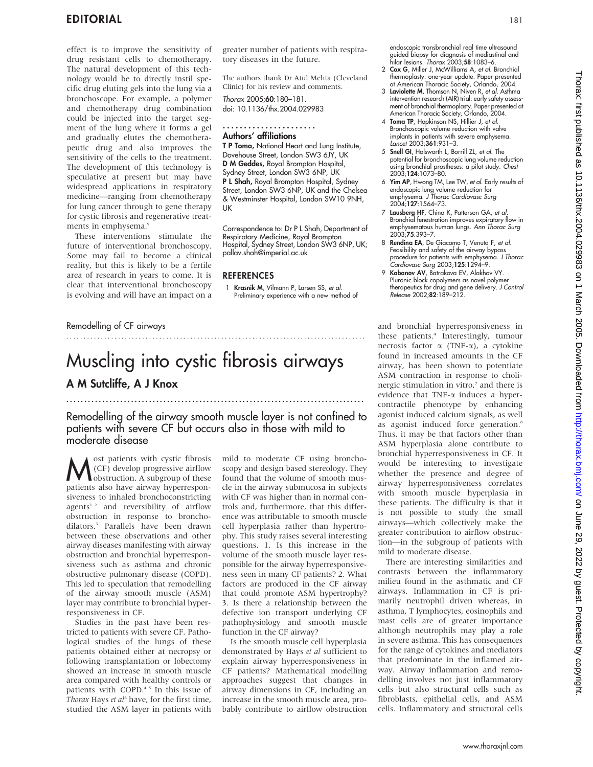effect is to improve the sensitivity of drug resistant cells to chemotherapy. The natural development of this technology would be to directly instil specific drug eluting gels into the lung via a bronchoscope. For example, a polymer and chemotherapy drug combination could be injected into the target segment of the lung where it forms a gel and gradually elutes the chemotherapeutic drug and also improves the sensitivity of the cells to the treatment. The development of this technology is speculative at present but may have widespread applications in respiratory medicine—ranging from chemotherapy for lung cancer through to gene therapy for cystic fibrosis and regenerative treatments in emphysema.<sup>9</sup>

These interventions stimulate the future of interventional bronchoscopy. Some may fail to become a clinical reality, but this is likely to be a fertile area of research in years to come. It is clear that interventional bronchoscopy is evolving and will have an impact on a

greater number of patients with respiratory diseases in the future.

The authors thank Dr Atul Mehta (Cleveland Clinic) for his review and comments.

Thorax 2005;60:180–181. doi: 10.1136/thx.2004.029983

......................

### Authors' affiliations

T P Toma, National Heart and Lung Institute, Dovehouse Street, London SW3 6JY, UK D M Geddes, Royal Brompton Hospital, Sydney Street, London SW3 6NP, UK P L Shah, Royal Brompton Hospital, Sydney Street, London SW3 6NP, UK and the Chelsea & Westminster Hospital, London SW10 9NH, UK

Correspondence to: Dr P L Shah, Department of Respiratory Medicine, Royal Brompton Hospital, Sydney Street, London SW3 6NP, UK; pallav.shah@imperial.ac.uk

#### REFERENCES

.......................................................................................

1 Krasnik M, Vilmann P, Larsen SS, et al. Preliminary experience with a new method of

Remodelling of CF airways

## Muscling into cystic fibrosis airways A M Sutcliffe, A J Knox

Remodelling of the airway smooth muscle layer is not confined to patients with severe CF but occurs also in those with mild to moderate disease

...................................................................................

**M** (CF) develop progressive airflow<br>obstruction. A subgroup of these<br>patients also have airway hypergeon (CF) develop progressive airflow **l**obstruction. A subgroup of these patients also have airway hyperresponsiveness to inhaled bronchoconstricting agents<sup>12</sup> and reversibility of airflow obstruction in response to bronchodilators.3 Parallels have been drawn between these observations and other airway diseases manifesting with airway obstruction and bronchial hyperresponsiveness such as asthma and chronic obstructive pulmonary disease (COPD). This led to speculation that remodelling of the airway smooth muscle (ASM) layer may contribute to bronchial hyperresponsiveness in CF.

Studies in the past have been restricted to patients with severe CF. Pathological studies of the lungs of these patients obtained either at necropsy or following transplantation or lobectomy showed an increase in smooth muscle area compared with healthy controls or patients with COPD.<sup>45</sup> In this issue of Thorax Hays et al<sup>6</sup> have, for the first time, studied the ASM layer in patients with mild to moderate CF using bronchoscopy and design based stereology. They found that the volume of smooth muscle in the airway submucosa in subjects with CF was higher than in normal controls and, furthermore, that this difference was attributable to smooth muscle cell hyperplasia rather than hypertrophy. This study raises several interesting questions. 1. Is this increase in the volume of the smooth muscle layer responsible for the airway hyperresponsiveness seen in many CF patients? 2. What factors are produced in the CF airway that could promote ASM hypertrophy? 3. Is there a relationship between the defective ion transport underlying CF pathophysiology and smooth muscle function in the CF airway?

Is the smooth muscle cell hyperplasia demonstrated by Hays et al sufficient to explain airway hyperresponsiveness in CF patients? Mathematical modelling approaches suggest that changes in airway dimensions in CF, including an increase in the smooth muscle area, probably contribute to airflow obstruction

endoscopic transbronchial real time ultrasound guided biopsy for diagnosis of mediastinal and<br>hilar lesions. *Thorax* 2003;**58**:1083–6.<br>2 **Cox G**, Miller J, McWilliams A, *et al*. Bronchial

- thermoplasty: one-year update. Paper presented at American Thoracic Society, Orlando, 2004.
- 3 Laviolette M, Thomson N, Niven R, et al. Asthma intervention research (AIR) trial: early safety assessment of bronchial thermoplasty. Paper presented at American Thoracic Society, Orlando, 2004.
- 4 Toma TP, Hopkinson NS, Hillier J, et al. Bronchoscopic volume reduction with valve implants in patients with severe emphysema.<br>*Lancet* 2003;**361**:931–3.
- 5 Snell GI, Holsworth L, Borrill ZL, et al. The potential for bronchoscopic lung volume reduction using bronchial prostheses: a pilot study. Chest 2003;124:1073–80.
- 6 Yim AP, Hwong TM, Lee TW, et al. Early results of endoscopic lung volume reduction for emphysema. J Thorac Cardiovasc Surg 2004;127:1564–73.
- 7 Lausberg HF, Chino K, Patterson GA, et al. Bronchial fenestration improves expiratory flow in emphysematous human lungs. Ann Thorac Surg 2003;75:393–7.
- 8 Rendina EA, De Giacomo T, Venuta F, et al. Feasibility and safety of the airway bypass procedure for patients with emphysema. J Thorac Cardiovasc Surg 2003;125:1294–9.
- 9 Kabanov AV, Batrakova EV, Alakhov VY. Pluronic block copolymers as novel polymer therapeutics for drug and gene delivery. *J Control*<br>*Release* 2002;**82**:189–212.

and bronchial hyperresponsiveness in these patients.<sup>4</sup> Interestingly, tumour necrosis factor  $\alpha$  (TNF- $\alpha$ ), a cytokine found in increased amounts in the CF airway, has been shown to potentiate ASM contraction in response to cholinergic stimulation in vitro, $\bar{z}$  and there is evidence that  $TNF-\alpha$  induces a hypercontractile phenotype by enhancing agonist induced calcium signals, as well as agonist induced force generation.<sup>8</sup> Thus, it may be that factors other than ASM hyperplasia alone contribute to bronchial hyperresponsiveness in CF. It would be interesting to investigate whether the presence and degree of airway hyperresponsiveness correlates with smooth muscle hyperplasia in these patients. The difficulty is that it is not possible to study the small airways—which collectively make the greater contribution to airflow obstruction—in the subgroup of patients with mild to moderate disease.

There are interesting similarities and contrasts between the inflammatory milieu found in the asthmatic and CF airways. Inflammation in CF is primarily neutrophil driven whereas, in asthma, T lymphocytes, eosinophils and mast cells are of greater importance although neutrophils may play a role in severe asthma. This has consequences for the range of cytokines and mediators that predominate in the inflamed airway. Airway inflammation and remodelling involves not just inflammatory cells but also structural cells such as fibroblasts, epithelial cells, and ASM cells. Inflammatory and structural cells